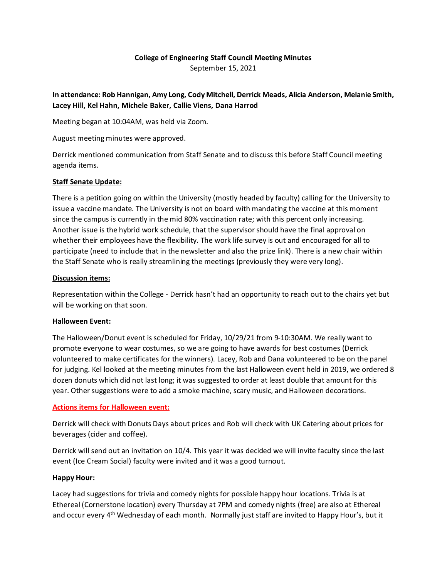# **College of Engineering Staff Council Meeting Minutes** September 15, 2021

**In attendance: Rob Hannigan, Amy Long, Cody Mitchell, Derrick Meads, Alicia Anderson, Melanie Smith, Lacey Hill, Kel Hahn, Michele Baker, Callie Viens, Dana Harrod**

Meeting began at 10:04AM, was held via Zoom.

August meeting minutes were approved.

Derrick mentioned communication from Staff Senate and to discuss this before Staff Council meeting agenda items.

### **Staff Senate Update:**

There is a petition going on within the University (mostly headed by faculty) calling for the University to issue a vaccine mandate. The University is not on board with mandating the vaccine at this moment since the campus is currently in the mid 80% vaccination rate; with this percent only increasing. Another issue is the hybrid work schedule, that the supervisor should have the final approval on whether their employees have the flexibility. The work life survey is out and encouraged for all to participate (need to include that in the newsletter and also the prize link). There is a new chair within the Staff Senate who is really streamlining the meetings (previously they were very long).

#### **Discussion items:**

Representation within the College - Derrick hasn't had an opportunity to reach out to the chairs yet but will be working on that soon.

### **Halloween Event:**

The Halloween/Donut event is scheduled for Friday, 10/29/21 from 9-10:30AM. We really want to promote everyone to wear costumes, so we are going to have awards for best costumes (Derrick volunteered to make certificates for the winners). Lacey, Rob and Dana volunteered to be on the panel for judging. Kel looked at the meeting minutes from the last Halloween event held in 2019, we ordered 8 dozen donuts which did not last long; it was suggested to order at least double that amount for this year. Other suggestions were to add a smoke machine, scary music, and Halloween decorations.

### **Actions items for Halloween event:**

Derrick will check with Donuts Days about prices and Rob will check with UK Catering about prices for beverages (cider and coffee).

Derrick will send out an invitation on 10/4. This year it was decided we will invite faculty since the last event (Ice Cream Social) faculty were invited and it was a good turnout.

### **Happy Hour:**

Lacey had suggestions for trivia and comedy nights for possible happy hour locations. Trivia is at Ethereal (Cornerstone location) every Thursday at 7PM and comedy nights (free) are also at Ethereal and occur every 4<sup>th</sup> Wednesday of each month. Normally just staff are invited to Happy Hour's, but it